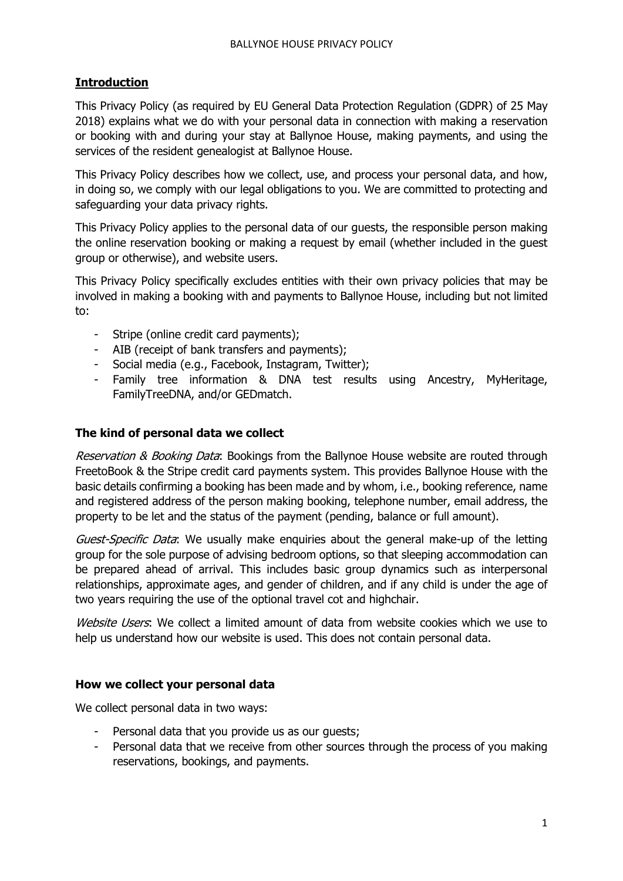## **Introduction**

This Privacy Policy (as required by EU General Data Protection Regulation (GDPR) of 25 May 2018) explains what we do with your personal data in connection with making a reservation or booking with and during your stay at Ballynoe House, making payments, and using the services of the resident genealogist at Ballynoe House.

This Privacy Policy describes how we collect, use, and process your personal data, and how, in doing so, we comply with our legal obligations to you. We are committed to protecting and safeguarding your data privacy rights.

This Privacy Policy applies to the personal data of our guests, the responsible person making the online reservation booking or making a request by email (whether included in the guest group or otherwise), and website users.

This Privacy Policy specifically excludes entities with their own privacy policies that may be involved in making a booking with and payments to Ballynoe House, including but not limited to:

- Stripe (online credit card payments);
- AIB (receipt of bank transfers and payments);
- Social media (e.g., Facebook, Instagram, Twitter);
- Family tree information & DNA test results using Ancestry, MyHeritage, FamilyTreeDNA, and/or GEDmatch.

#### **The kind of personal data we collect**

Reservation & Booking Data: Bookings from the Ballynoe House website are routed through FreetoBook & the Stripe credit card payments system. This provides Ballynoe House with the basic details confirming a booking has been made and by whom, i.e., booking reference, name and registered address of the person making booking, telephone number, email address, the property to be let and the status of the payment (pending, balance or full amount).

Guest-Specific Data: We usually make enquiries about the general make-up of the letting group for the sole purpose of advising bedroom options, so that sleeping accommodation can be prepared ahead of arrival. This includes basic group dynamics such as interpersonal relationships, approximate ages, and gender of children, and if any child is under the age of two years requiring the use of the optional travel cot and highchair.

Website Users: We collect a limited amount of data from website cookies which we use to help us understand how our website is used. This does not contain personal data.

#### **How we collect your personal data**

We collect personal data in two ways:

- Personal data that you provide us as our guests;
- Personal data that we receive from other sources through the process of you making reservations, bookings, and payments.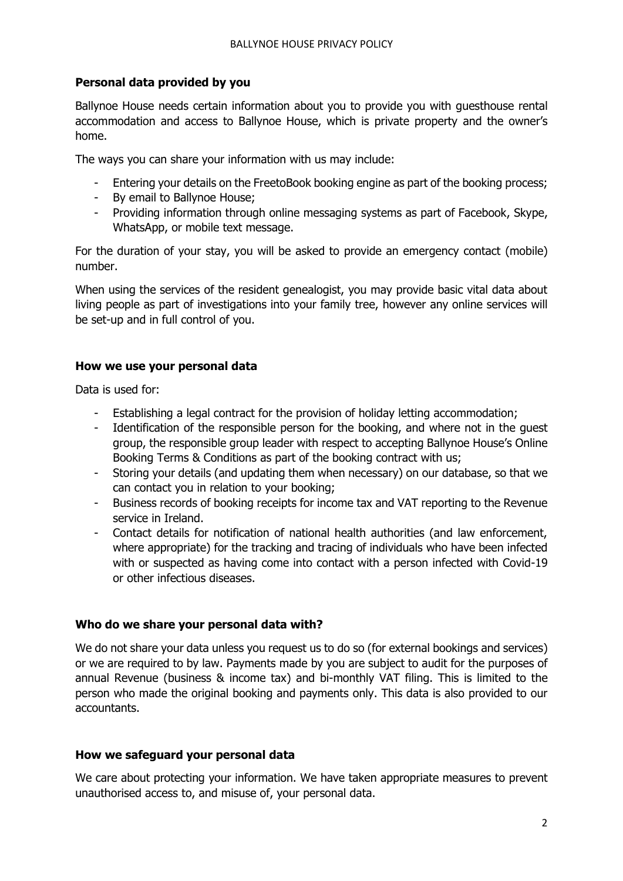### **Personal data provided by you**

Ballynoe House needs certain information about you to provide you with guesthouse rental accommodation and access to Ballynoe House, which is private property and the owner's home.

The ways you can share your information with us may include:

- Entering your details on the FreetoBook booking engine as part of the booking process;
- By email to Ballynoe House;
- Providing information through online messaging systems as part of Facebook, Skype, WhatsApp, or mobile text message.

For the duration of your stay, you will be asked to provide an emergency contact (mobile) number.

When using the services of the resident genealogist, you may provide basic vital data about living people as part of investigations into your family tree, however any online services will be set-up and in full control of you.

### **How we use your personal data**

Data is used for:

- Establishing a legal contract for the provision of holiday letting accommodation;
- Identification of the responsible person for the booking, and where not in the guest group, the responsible group leader with respect to accepting Ballynoe House's Online Booking Terms & Conditions as part of the booking contract with us;
- Storing your details (and updating them when necessary) on our database, so that we can contact you in relation to your booking;
- Business records of booking receipts for income tax and VAT reporting to the Revenue service in Ireland.
- Contact details for notification of national health authorities (and law enforcement, where appropriate) for the tracking and tracing of individuals who have been infected with or suspected as having come into contact with a person infected with Covid-19 or other infectious diseases.

### **Who do we share your personal data with?**

We do not share your data unless you request us to do so (for external bookings and services) or we are required to by law. Payments made by you are subject to audit for the purposes of annual Revenue (business & income tax) and bi-monthly VAT filing. This is limited to the person who made the original booking and payments only. This data is also provided to our accountants.

#### **How we safeguard your personal data**

We care about protecting your information. We have taken appropriate measures to prevent unauthorised access to, and misuse of, your personal data.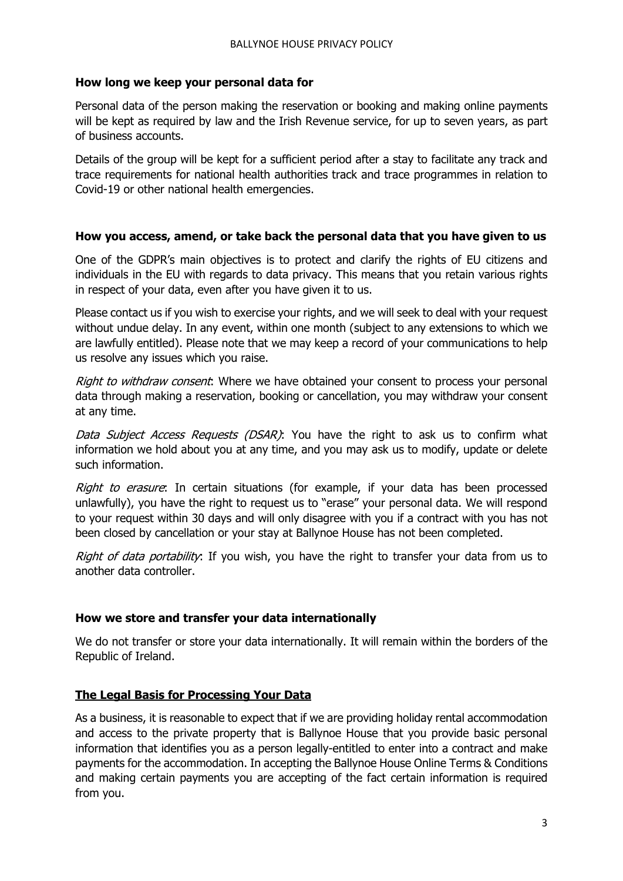### **How long we keep your personal data for**

Personal data of the person making the reservation or booking and making online payments will be kept as required by law and the Irish Revenue service, for up to seven years, as part of business accounts.

Details of the group will be kept for a sufficient period after a stay to facilitate any track and trace requirements for national health authorities track and trace programmes in relation to Covid-19 or other national health emergencies.

#### **How you access, amend, or take back the personal data that you have given to us**

One of the GDPR's main objectives is to protect and clarify the rights of EU citizens and individuals in the EU with regards to data privacy. This means that you retain various rights in respect of your data, even after you have given it to us.

Please contact us if you wish to exercise your rights, and we will seek to deal with your request without undue delay. In any event, within one month (subject to any extensions to which we are lawfully entitled). Please note that we may keep a record of your communications to help us resolve any issues which you raise.

Right to withdraw consent: Where we have obtained your consent to process your personal data through making a reservation, booking or cancellation, you may withdraw your consent at any time.

Data Subject Access Requests (DSAR): You have the right to ask us to confirm what information we hold about you at any time, and you may ask us to modify, update or delete such information.

Right to erasure: In certain situations (for example, if your data has been processed unlawfully), you have the right to request us to "erase" your personal data. We will respond to your request within 30 days and will only disagree with you if a contract with you has not been closed by cancellation or your stay at Ballynoe House has not been completed.

Right of data portability: If you wish, you have the right to transfer your data from us to another data controller.

### **How we store and transfer your data internationally**

We do not transfer or store your data internationally. It will remain within the borders of the Republic of Ireland.

### **The Legal Basis for Processing Your Data**

As a business, it is reasonable to expect that if we are providing holiday rental accommodation and access to the private property that is Ballynoe House that you provide basic personal information that identifies you as a person legally-entitled to enter into a contract and make payments for the accommodation. In accepting the Ballynoe House Online Terms & Conditions and making certain payments you are accepting of the fact certain information is required from you.